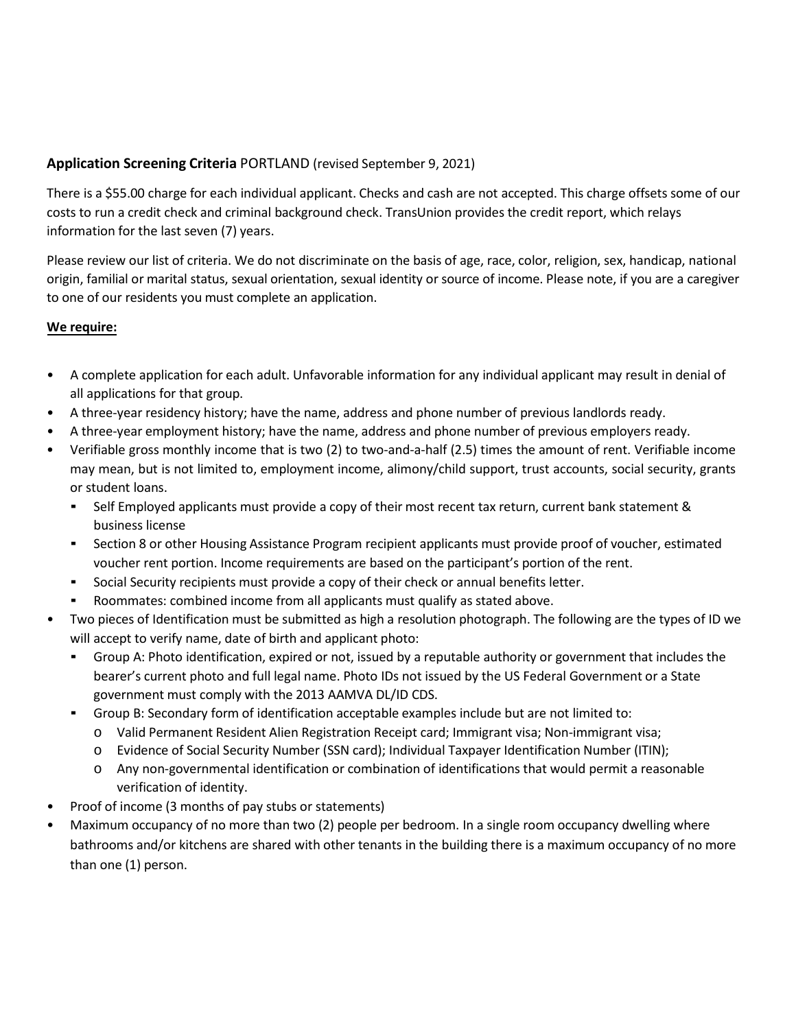## **Application Screening Criteria** PORTLAND (revised September 9, 2021)

There is a \$55.00 charge for each individual applicant. Checks and cash are not accepted. This charge offsets some of our costs to run a credit check and criminal background check. TransUnion provides the credit report, which relays information for the last seven (7) years.

Please review our list of criteria. We do not discriminate on the basis of age, race, color, religion, sex, handicap, national origin, familial or marital status, sexual orientation, sexual identity or source of income. Please note, if you are a caregiver to one of our residents you must complete an application.

#### **We require:**

- A complete application for each adult. Unfavorable information for any individual applicant may result in denial of all applications for that group.
- A three-year residency history; have the name, address and phone number of previous landlords ready.
- A three-year employment history; have the name, address and phone number of previous employers ready.
- Verifiable gross monthly income that is two (2) to two-and-a-half (2.5) times the amount of rent. Verifiable income may mean, but is not limited to, employment income, alimony/child support, trust accounts, social security, grants or student loans.
	- Self Employed applicants must provide a copy of their most recent tax return, current bank statement & business license
	- Section 8 or other Housing Assistance Program recipient applicants must provide proof of voucher, estimated voucher rent portion. Income requirements are based on the participant's portion of the rent.
	- Social Security recipients must provide a copy of their check or annual benefits letter.
	- Roommates: combined income from all applicants must qualify as stated above.
- Two pieces of Identification must be submitted as high a resolution photograph. The following are the types of ID we will accept to verify name, date of birth and applicant photo:
	- Group A: Photo identification, expired or not, issued by a reputable authority or government that includes the bearer's current photo and full legal name. Photo IDs not issued by the US Federal Government or a State government must comply with the 2013 AAMVA DL/ID CDS.
	- Group B: Secondary form of identification acceptable examples include but are not limited to:
		- o Valid Permanent Resident Alien Registration Receipt card; Immigrant visa; Non-immigrant visa;
		- o Evidence of Social Security Number (SSN card); Individual Taxpayer Identification Number (ITIN);
		- o Any non-governmental identification or combination of identifications that would permit a reasonable verification of identity.
- Proof of income (3 months of pay stubs or statements)
- Maximum occupancy of no more than two (2) people per bedroom. In a single room occupancy dwelling where bathrooms and/or kitchens are shared with other tenants in the building there is a maximum occupancy of no more than one (1) person.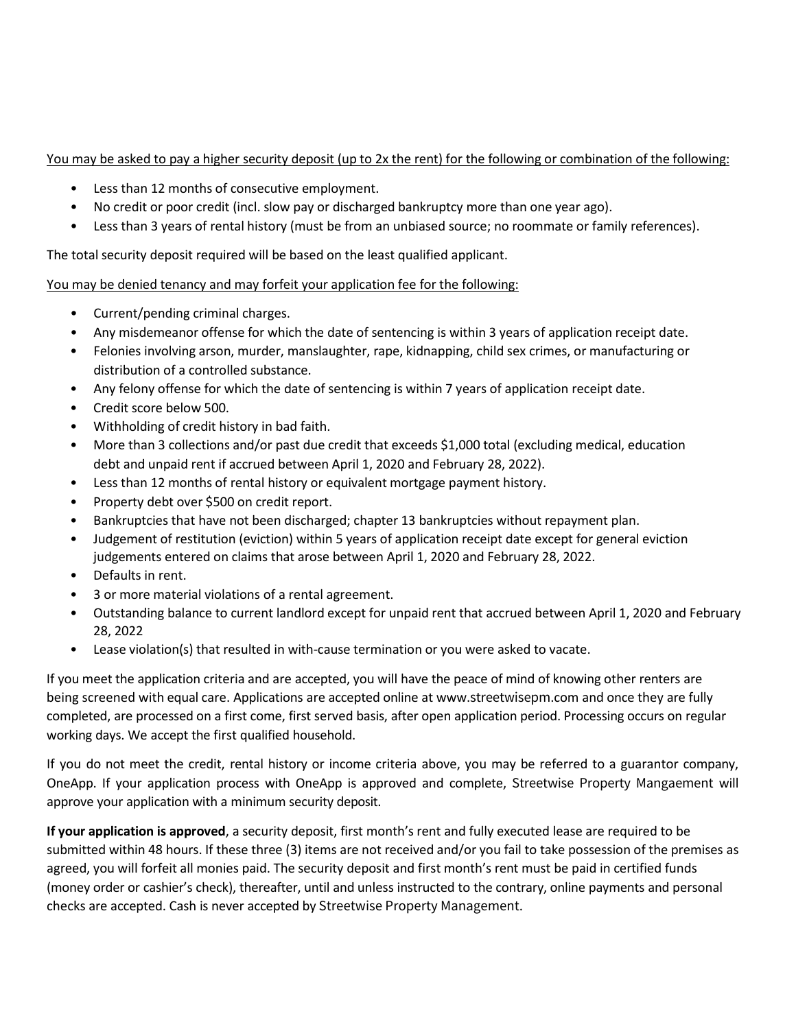#### You may be asked to pay a higher security deposit (up to 2x the rent) for the following or combination of the following:

- Less than 12 months of consecutive employment.
- No credit or poor credit (incl. slow pay or discharged bankruptcy more than one year ago).
- Less than 3 years of rental history (must be from an unbiased source; no roommate or family references).

The total security deposit required will be based on the least qualified applicant.

You may be denied tenancy and may forfeit your application fee for the following:

- Current/pending criminal charges.
- Any misdemeanor offense for which the date of sentencing is within 3 years of application receipt date.
- Felonies involving arson, murder, manslaughter, rape, kidnapping, child sex crimes, or manufacturing or distribution of a controlled substance.
- Any felony offense for which the date of sentencing is within 7 years of application receipt date.
- Credit score below 500.
- Withholding of credit history in bad faith.
- More than 3 collections and/or past due credit that exceeds \$1,000 total (excluding medical, education debt and unpaid rent if accrued between April 1, 2020 and February 28, 2022).
- Less than 12 months of rental history or equivalent mortgage payment history.
- Property debt over \$500 on credit report.
- Bankruptcies that have not been discharged; chapter 13 bankruptcies without repayment plan.
- Judgement of restitution (eviction) within 5 years of application receipt date except for general eviction judgements entered on claims that arose between April 1, 2020 and February 28, 2022.
- Defaults in rent.
- 3 or more material violations of a rental agreement.
- Outstanding balance to current landlord except for unpaid rent that accrued between April 1, 2020 and February 28, 2022
- Lease violation(s) that resulted in with-cause termination or you were asked to vacate.

If you meet the application criteria and are accepted, you will have the peace of mind of knowing other renters are being screened with equal care. Applications are accepted online at www.[streetwise](http://www.bluestonehockley.com/)pm.com and once they are fully completed, are processed on a first come, first served basis, after open application period. Processing occurs on regular working days. We accept the first qualified household.

If you do not meet the credit, rental history or income criteria above, you may be referred to a guarantor company, OneApp. If your application process with OneApp is approved and complete, Streetwise Property Mangaement will approve your application with a minimum security deposit.

**If your application is approved**, a security deposit, first month's rent and fully executed lease are required to be submitted within 48 hours. If these three (3) items are not received and/or you fail to take possession of the premises as agreed, you will forfeit all monies paid. The security deposit and first month's rent must be paid in certified funds (money order or cashier's check), thereafter, until and unless instructed to the contrary, online payments and personal checks are accepted. Cash is never accepted by Streetwise Property Management.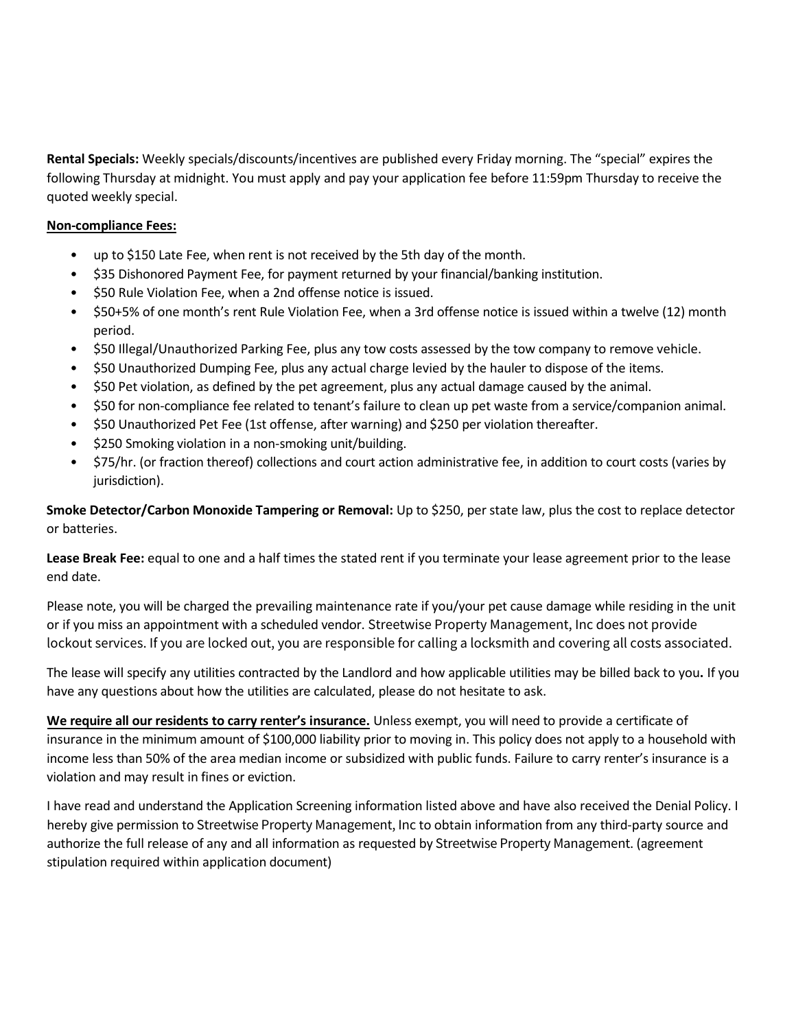**Rental Specials:** Weekly specials/discounts/incentives are published every Friday morning. The "special" expires the following Thursday at midnight. You must apply and pay your application fee before 11:59pm Thursday to receive the quoted weekly special.

#### **Non-compliance Fees:**

- up to \$150 Late Fee, when rent is not received by the 5th day of the month.
- \$35 Dishonored Payment Fee, for payment returned by your financial/banking institution.
- \$50 Rule Violation Fee, when a 2nd offense notice is issued.
- \$50+5% of one month's rent Rule Violation Fee, when a 3rd offense notice is issued within a twelve (12) month period.
- \$50 Illegal/Unauthorized Parking Fee, plus any tow costs assessed by the tow company to remove vehicle.
- \$50 Unauthorized Dumping Fee, plus any actual charge levied by the hauler to dispose of the items.
- \$50 Pet violation, as defined by the pet agreement, plus any actual damage caused by the animal.
- \$50 for non-compliance fee related to tenant's failure to clean up pet waste from a service/companion animal.
- \$50 Unauthorized Pet Fee (1st offense, after warning) and \$250 per violation thereafter.
- \$250 Smoking violation in a non-smoking unit/building.
- \$75/hr. (or fraction thereof) collections and court action administrative fee, in addition to court costs (varies by jurisdiction).

**Smoke Detector/Carbon Monoxide Tampering or Removal:** Up to \$250, per state law, plus the cost to replace detector or batteries.

**Lease Break Fee:** equal to one and a half times the stated rent if you terminate your lease agreement prior to the lease end date.

Please note, you will be charged the prevailing maintenance rate if you/your pet cause damage while residing in the unit or if you miss an appointment with a scheduled vendor. Streetwise Property Management, Inc does not provide lockout services. If you are locked out, you are responsible for calling a locksmith and covering all costs associated.

The lease will specify any utilities contracted by the Landlord and how applicable utilities may be billed back to you**.** If you have any questions about how the utilities are calculated, please do not hesitate to ask.

**We require all our residents to carry renter's i nsurance.** Unless exempt, you will need to provide a certificate of insurance in the minimum amount of \$100,000 liability prior to moving in. This policy does not apply to a household with income less than 50% of the area median income or subsidized with public funds. Failure to carry renter's insurance is a violation and may result in fines or eviction.

I have read and understand the Application Screening information listed above and have also received the Denial Policy. I hereby give permission to Streetwise Property Management, Inc to obtain information from any third-party source and authorize the full release of any and all information as requested by Streetwise Property Management. (agreement stipulation required within application document)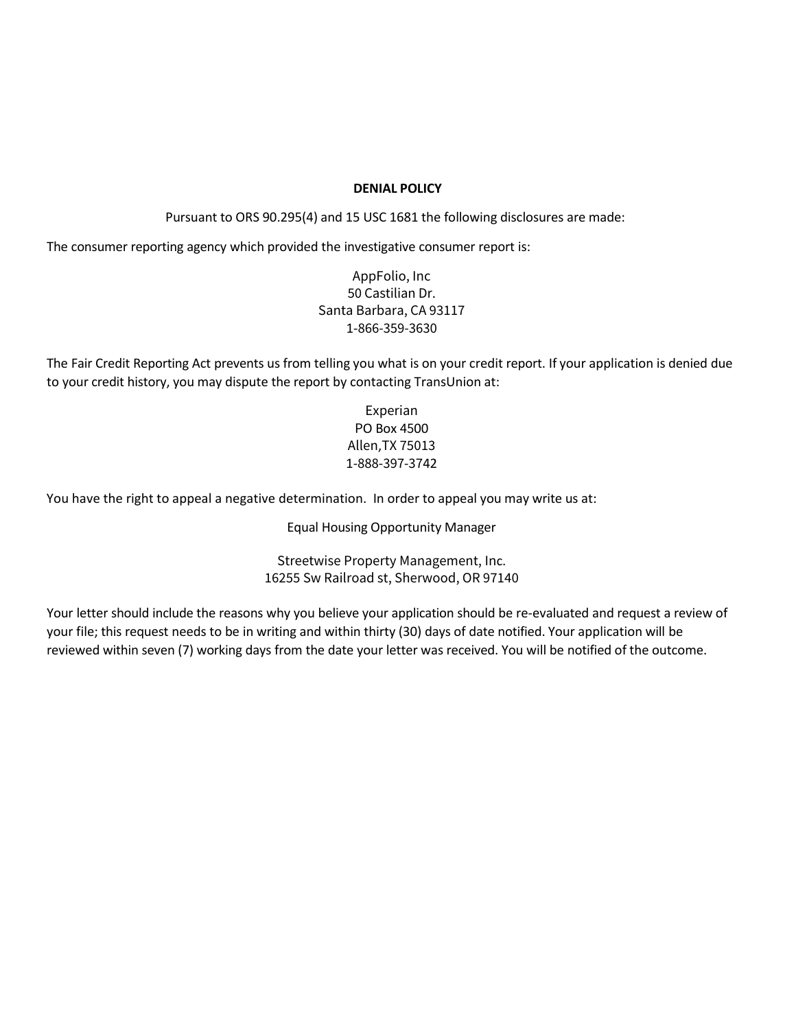#### **DENIAL POLICY**

Pursuant to ORS 90.295(4) and 15 USC 1681 the following disclosures are made:

The consumer reporting agency which provided the investigative consumer report is:

AppFolio, Inc 50 Castilian Dr. Santa Barbara, CA 93117 1-866-359-3630

The Fair Credit Reporting Act prevents us from telling you what is on your credit report. If your application is denied due to your credit history, you may dispute the report by contacting TransUnion at:

> Experian PO Box 4500 Allen,TX 75013 1-888-397-3742

You have the right to appeal a negative determination. In order to appeal you may write us at:

Equal Housing Opportunity Manager

Streetwise Property Management, Inc. 16255 Sw Railroad st, Sherwood, OR 97140

Your letter should include the reasons why you believe your application should be re-evaluated and request a review of your file; this request needs to be in writing and within thirty (30) days of date notified. Your application will be reviewed within seven (7) working days from the date your letter was received. You will be notified of the outcome.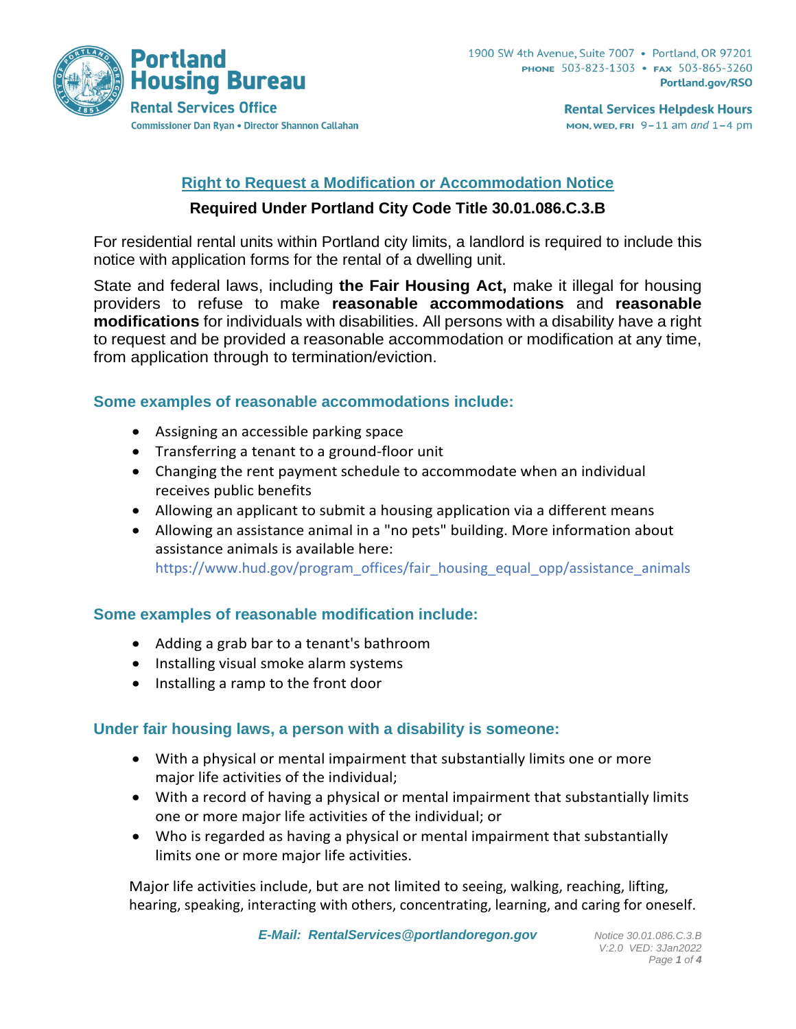

**Rental Services Helpdesk Hours** MON, WED, FRI  $9-11$  am and  $1-4$  pm

# **Right to Request a Modification or Accommodation Notice**

## **Required Under Portland City Code Title 30.01.086.C.3.B**

For residential rental units within Portland city limits, a landlord is required to include this notice with application forms for the rental of a dwelling unit.

State and federal laws, including **the Fair Housing Act,** make it illegal for housing providers to refuse to make **reasonable accommodations** and **reasonable modifications** for individuals with disabilities. All persons with a disability have a right to request and be provided a reasonable accommodation or modification at any time, from application through to termination/eviction.

## **Some examples of reasonable accommodations include:**

- Assigning an accessible parking space
- Transferring a tenant to a ground-floor unit
- Changing the rent payment schedule to accommodate when an individual receives public benefits
- Allowing an applicant to submit a housing application via a different means
- Allowing an assistance animal in a "no pets" building. More information about assistance animals is available here: [https://www.hud.gov/program\\_offices/fair\\_housing\\_equal\\_opp/assistance\\_animals](https://www.hud.gov/program_offices/fair_housing_equal_opp/assistance_animals)

# **Some examples of reasonable modification include:**

- Adding a grab bar to a tenant's bathroom
- Installing visual smoke alarm systems
- Installing a ramp to the front door

# **Under fair housing laws, a person with a disability is someone:**

- With a physical or mental impairment that substantially limits one or more major life activities of the individual;
- With a record of having a physical or mental impairment that substantially limits one or more major life activities of the individual; or
- Who is regarded as having a physical or mental impairment that substantially limits one or more major life activities.

Major life activities include, but are not limited to seeing, walking, reaching, lifting, hearing, speaking, interacting with others, concentrating, learning, and caring for oneself.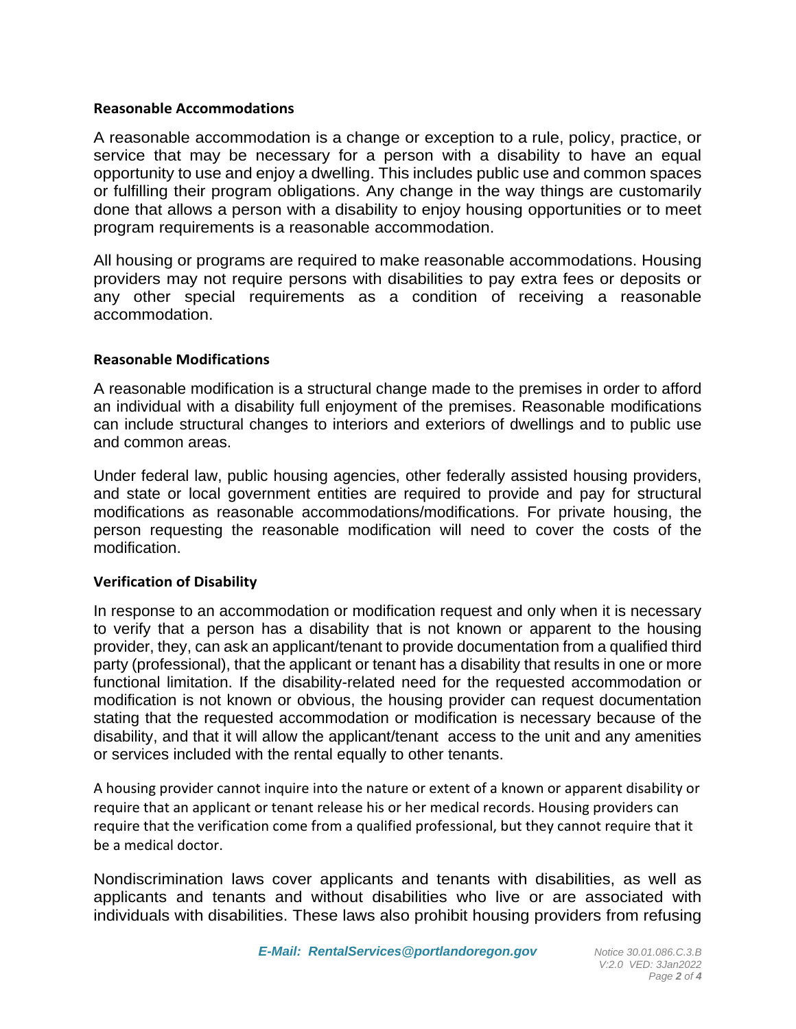#### **Reasonable Accommodations**

A reasonable accommodation is a change or exception to a rule, policy, practice, or service that may be necessary for a person with a disability to have an equal opportunity to use and enjoy a dwelling. This includes public use and common spaces or fulfilling their program obligations. Any change in the way things are customarily done that allows a person with a disability to enjoy housing opportunities or to meet program requirements is a reasonable accommodation.

All housing or programs are required to make reasonable accommodations. Housing providers may not require persons with disabilities to pay extra fees or deposits or any other special requirements as a condition of receiving a reasonable accommodation.

#### **Reasonable Modifications**

A reasonable modification is a structural change made to the premises in order to afford an individual with a disability full enjoyment of the premises. Reasonable modifications can include structural changes to interiors and exteriors of dwellings and to public use and common areas.

Under federal law, public housing agencies, other federally assisted housing providers, and state or local government entities are required to provide and pay for structural modifications as reasonable accommodations/modifications. For private housing, the person requesting the reasonable modification will need to cover the costs of the modification.

#### **Verification of Disability**

In response to an accommodation or modification request and only when it is necessary to verify that a person has a disability that is not known or apparent to the housing provider, they, can ask an applicant/tenant to provide documentation from a qualified third party (professional), that the applicant or tenant has a disability that results in one or more functional limitation. If the disability-related need for the requested accommodation or modification is not known or obvious, the housing provider can request documentation stating that the requested accommodation or modification is necessary because of the disability, and that it will allow the applicant/tenant access to the unit and any amenities or services included with the rental equally to other tenants.

A housing provider cannot inquire into the nature or extent of a known or apparent disability or require that an applicant or tenant release his or her medical records. Housing providers can require that the verification come from a qualified professional, but they cannot require that it be a medical doctor.

Nondiscrimination laws cover applicants and tenants with disabilities, as well as applicants and tenants and without disabilities who live or are associated with individuals with disabilities. These laws also prohibit housing providers from refusing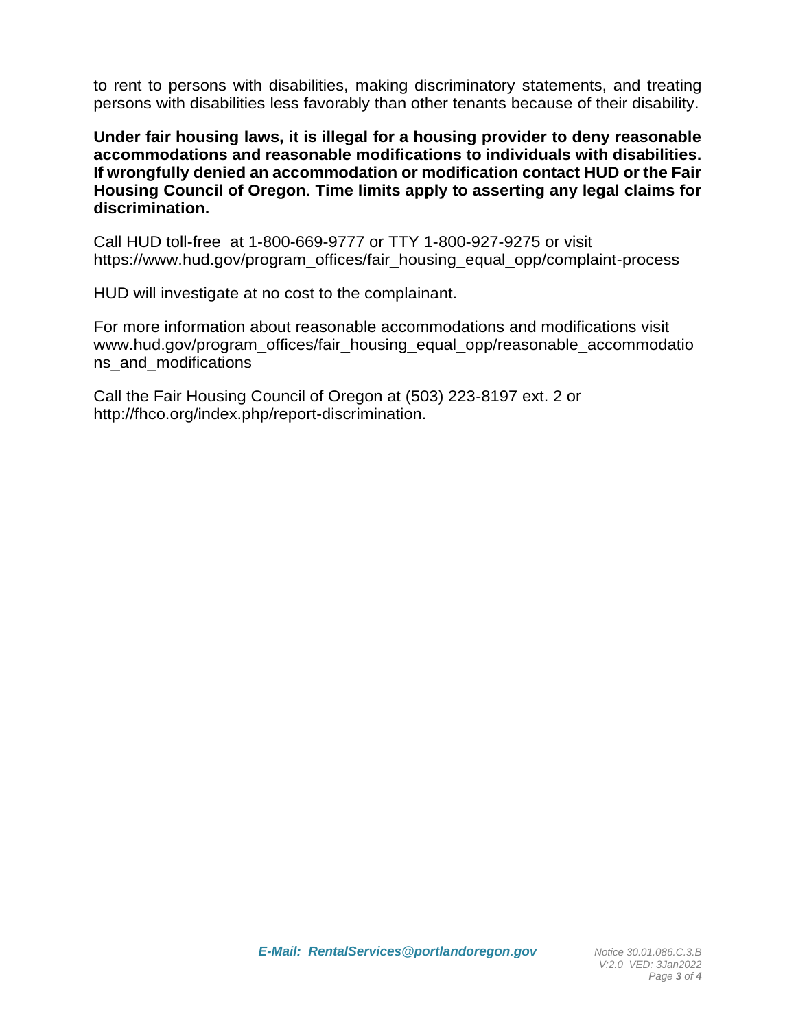to rent to persons with disabilities, making discriminatory statements, and treating persons with disabilities less favorably than other tenants because of their disability.

**Under fair housing laws, it is illegal for a housing provider to deny reasonable accommodations and reasonable modifications to individuals with disabilities. If wrongfully denied an accommodation or modification contact HUD or the Fair Housing Council of Oregon**. **Time limits apply to asserting any legal claims for discrimination.** 

Call HUD toll-free at 1-800-669-9777 or TTY 1-800-927-9275 or visit https://www.hud.gov/program\_offices/fair\_housing\_equal\_opp/complaint-process

HUD will investigate at no cost to the complainant.

For more information about reasonable accommodations and modifications visit www.hud.gov/program\_offices/fair\_housing\_equal\_opp/reasonable\_accommodatio ns\_and\_modifications

Call the Fair Housing Council of Oregon at (503) 223-8197 ext. 2 or http://fhco.org/index.php/report-discrimination.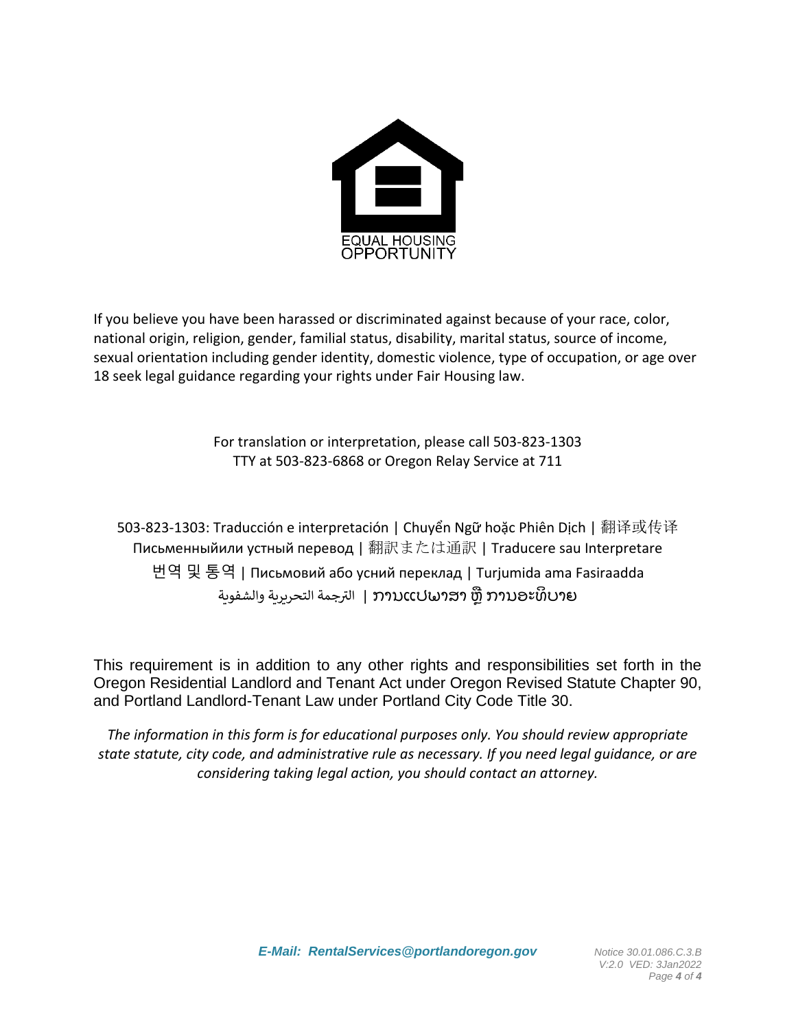

If you believe you have been harassed or discriminated against because of your race, color, national origin, religion, gender, familial status, disability, marital status, source of income, sexual orientation including gender identity, domestic violence, type of occupation, or age over 18 seek legal guidance regarding your rights under Fair Housing law.

> For translation or interpretation, please call 503-823-1303 TTY at 503-823-6868 or Oregon Relay Service at 711

503-823-1303: Traducción e interpretación | Chuyển Ngữ hoặc Phiên Dịch | 翻译或传译 Письменныйили устный перевод | 翻訳または通訳 | Traducere sau Interpretare 번역 및 통역 | Письмовий або усний переклад | Turjumida ama Fasiraadda جمة التحريرية والشفوية <sup>ر</sup> الت <sup>|</sup> ການແປພາສາ ຫຼື ການອະທິ ບາຍ

This requirement is in addition to any other rights and responsibilities set forth in the Oregon Residential Landlord and Tenant Act under Oregon Revised Statute Chapter 90, and Portland Landlord-Tenant Law under Portland City Code Title 30.

*The information in this form is for educational purposes only. You should review appropriate state statute, city code, and administrative rule as necessary. If you need legal guidance, or are considering taking legal action, you should contact an attorney.*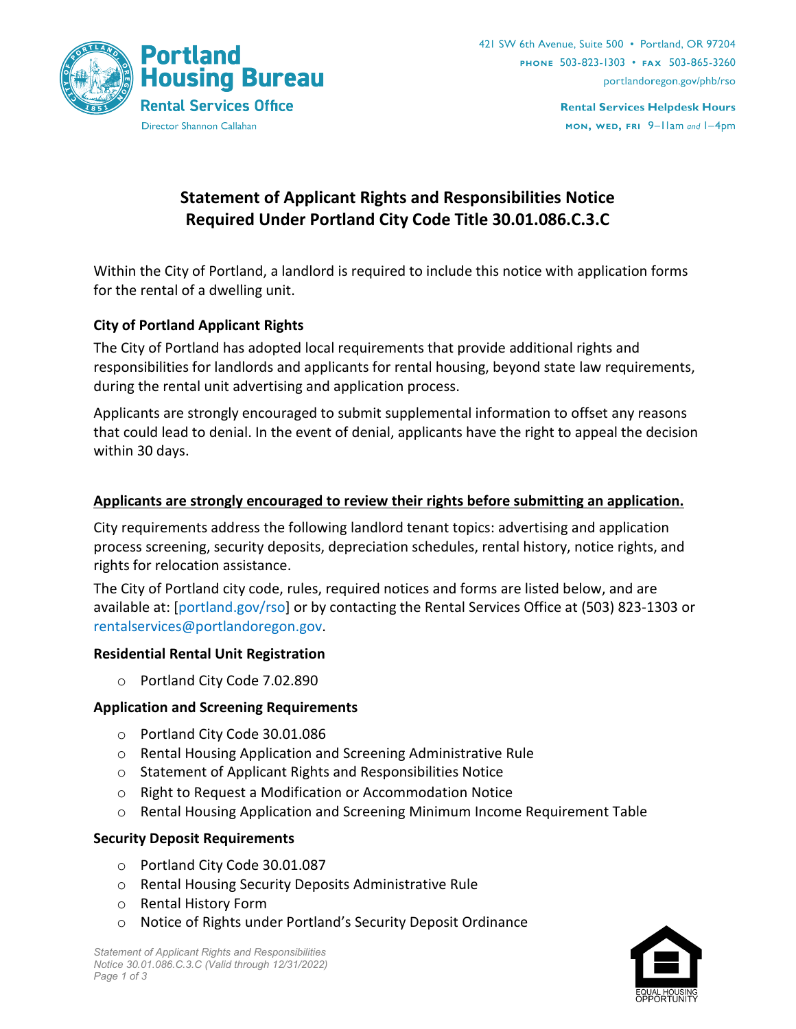

**Rental Services Helpdesk Hours** MON, WED, FRI 9-Ilam and I-4pm

# **Statement of Applicant Rights and Responsibilities Notice Required Under Portland City Code Title 30.01.086.C.3.C**

Within the City of Portland, a landlord is required to include this notice with application forms for the rental of a dwelling unit.

## **City of Portland Applicant Rights**

The City of Portland has adopted local requirements that provide additional rights and responsibilities for landlords and applicants for rental housing, beyond state law requirements, during the rental unit advertising and application process.

Applicants are strongly encouraged to submit supplemental information to offset any reasons that could lead to denial. In the event of denial, applicants have the right to appeal the decision within 30 days.

## **Applicants are strongly encouraged to review their rights before submitting an application.**

City requirements address the following landlord tenant topics: advertising and application process screening, security deposits, depreciation schedules, rental history, notice rights, and rights for relocation assistance.

The City of Portland city code, rules, required notices and forms are listed below, and are available at: [\[portland.gov/rso\]](http://www.portland.gov/rso) or by contacting the Rental Services Office at (503) 823-1303 or [rentalservices@portlandoregon.gov.](mailto:rentalservices@portlandoregon.gov)

#### **Residential Rental Unit Registration**

o Portland City Code 7.02.890

## **Application and Screening Requirements**

- o Portland City Code 30.01.086
- o Rental Housing Application and Screening Administrative Rule
- o Statement of Applicant Rights and Responsibilities Notice
- o Right to Request a Modification or Accommodation Notice
- o Rental Housing Application and Screening Minimum Income Requirement Table

#### **Security Deposit Requirements**

- o Portland City Code 30.01.087
- o Rental Housing Security Deposits Administrative Rule
- o Rental History Form
- o Notice of Rights under Portland's Security Deposit Ordinance

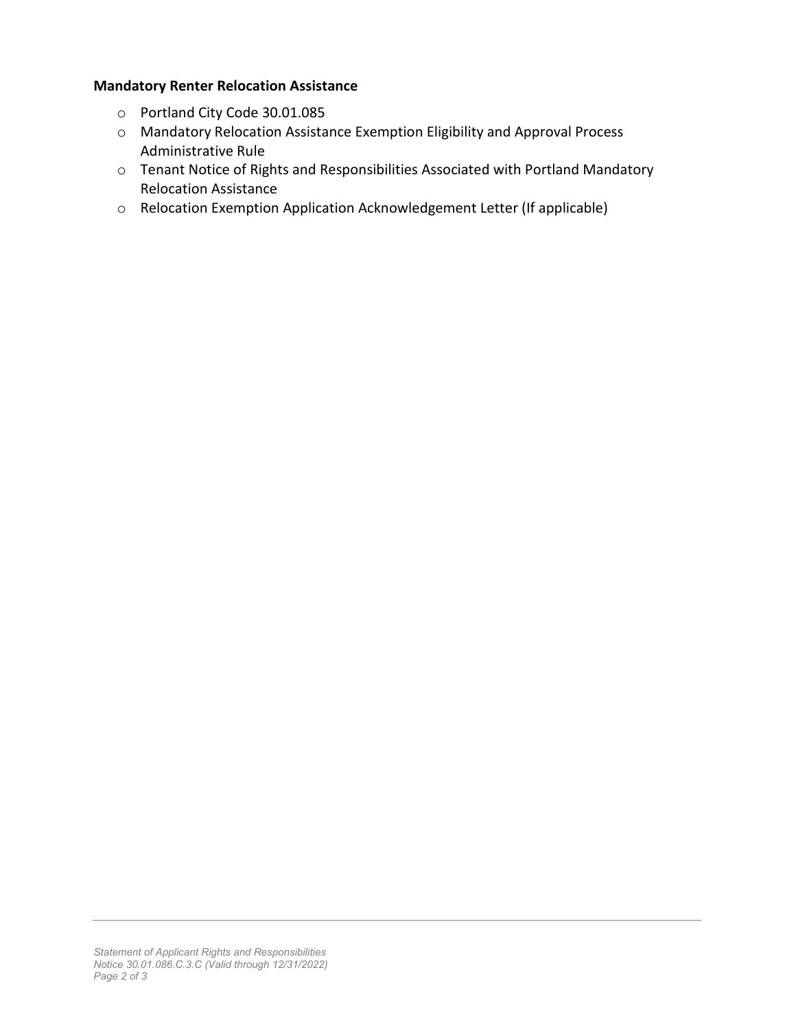## **Mandatory Renter Relocation Assistance**

- o Portland City Code 30.01.085
- o Mandatory Relocation Assistance Exemption Eligibility and Approval Process Administrative Rule
- o Tenant Notice of Rights and Responsibilities Associated with Portland Mandatory Relocation Assistance
- o Relocation Exemption Application Acknowledgement Letter (If applicable)